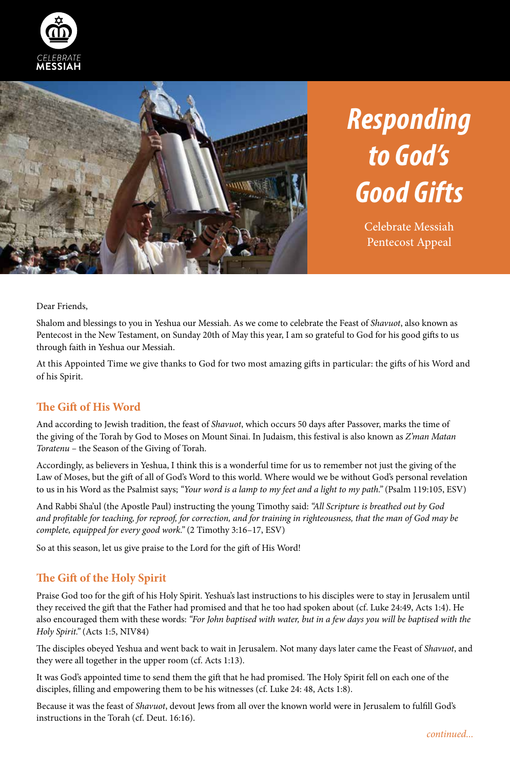



# *Responding to God's Good Gifts*

Celebrate Messiah Pentecost Appeal

Dear Friends,

Shalom and blessings to you in Yeshua our Messiah. As we come to celebrate the Feast of *Shavuot*, also known as Pentecost in the New Testament, on Sunday 20th of May this year, I am so grateful to God for his good gifts to us through faith in Yeshua our Messiah.

At this Appointed Time we give thanks to God for two most amazing gifts in particular: the gifts of his Word and of his Spirit.

#### **The Gift of His Word**

And according to Jewish tradition, the feast of *Shavuot*, which occurs 50 days after Passover, marks the time of the giving of the Torah by God to Moses on Mount Sinai. In Judaism, this festival is also known as *Z'man Matan Toratenu* – the Season of the Giving of Torah.

Accordingly, as believers in Yeshua, I think this is a wonderful time for us to remember not just the giving of the Law of Moses, but the gift of all of God's Word to this world. Where would we be without God's personal revelation to us in his Word as the Psalmist says; *"Your word is a lamp to my feet and a light to my path."* (Psalm 119:105, ESV)

And Rabbi Sha'ul (the Apostle Paul) instructing the young Timothy said: *"All Scripture is breathed out by God and profitable for teaching, for reproof, for correction, and for training in righteousness, that the man of God may be complete, equipped for every good work."* (2 Timothy 3:16–17, ESV)

So at this season, let us give praise to the Lord for the gift of His Word!

#### **The Gift of the Holy Spirit**

Praise God too for the gift of his Holy Spirit. Yeshua's last instructions to his disciples were to stay in Jerusalem until they received the gift that the Father had promised and that he too had spoken about (cf. Luke 24:49, Acts 1:4). He also encouraged them with these words: *"For John baptised with water, but in a few days you will be baptised with the Holy Spirit."* (Acts 1:5, NIV84)

The disciples obeyed Yeshua and went back to wait in Jerusalem. Not many days later came the Feast of *Shavuot*, and they were all together in the upper room (cf. Acts 1:13).

It was God's appointed time to send them the gift that he had promised. The Holy Spirit fell on each one of the disciples, filling and empowering them to be his witnesses (cf. Luke 24: 48, Acts 1:8).

Because it was the feast of *Shavuot*, devout Jews from all over the known world were in Jerusalem to fulfill God's instructions in the Torah (cf. Deut. 16:16).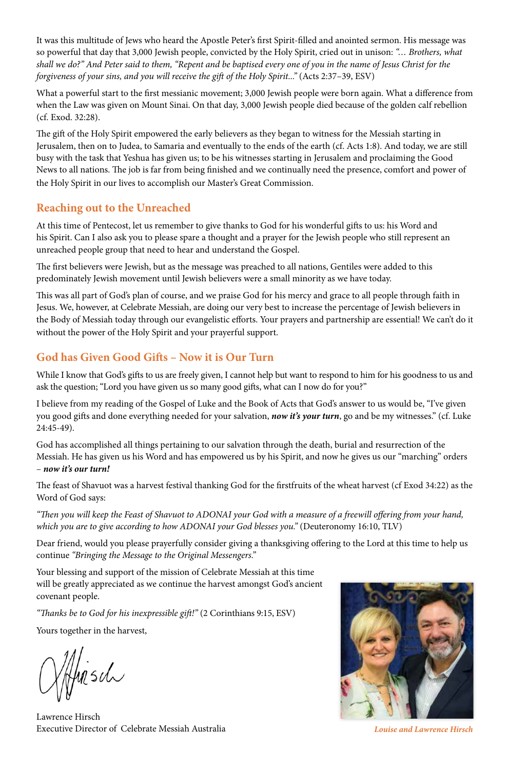It was this multitude of Jews who heard the Apostle Peter's first Spirit-filled and anointed sermon. His message was so powerful that day that 3,000 Jewish people, convicted by the Holy Spirit, cried out in unison: *"… Brothers, what shall we do?" And Peter said to them, "Repent and be baptised every one of you in the name of Jesus Christ for the forgiveness of your sins, and you will receive the gift of the Holy Spirit..."* (Acts 2:37–39, ESV)

What a powerful start to the first messianic movement; 3,000 Jewish people were born again. What a difference from when the Law was given on Mount Sinai. On that day, 3,000 Jewish people died because of the golden calf rebellion (cf. Exod. 32:28).

The gift of the Holy Spirit empowered the early believers as they began to witness for the Messiah starting in Jerusalem, then on to Judea, to Samaria and eventually to the ends of the earth (cf. Acts 1:8). And today, we are still busy with the task that Yeshua has given us; to be his witnesses starting in Jerusalem and proclaiming the Good News to all nations. The job is far from being finished and we continually need the presence, comfort and power of the Holy Spirit in our lives to accomplish our Master's Great Commission.

#### **Reaching out to the Unreached**

At this time of Pentecost, let us remember to give thanks to God for his wonderful gifts to us: his Word and his Spirit. Can I also ask you to please spare a thought and a prayer for the Jewish people who still represent an unreached people group that need to hear and understand the Gospel.

The first believers were Jewish, but as the message was preached to all nations, Gentiles were added to this predominately Jewish movement until Jewish believers were a small minority as we have today.

This was all part of God's plan of course, and we praise God for his mercy and grace to all people through faith in Jesus. We, however, at Celebrate Messiah, are doing our very best to increase the percentage of Jewish believers in the Body of Messiah today through our evangelistic efforts. Your prayers and partnership are essential! We can't do it without the power of the Holy Spirit and your prayerful support.

#### **God has Given Good Gifts – Now it is Our Turn**

While I know that God's gifts to us are freely given, I cannot help but want to respond to him for his goodness to us and ask the question; "Lord you have given us so many good gifts, what can I now do for you?"

I believe from my reading of the Gospel of Luke and the Book of Acts that God's answer to us would be, "I've given you good gifts and done everything needed for your salvation, *now it's your turn*, go and be my witnesses." (cf. Luke 24:45-49).

God has accomplished all things pertaining to our salvation through the death, burial and resurrection of the Messiah. He has given us his Word and has empowered us by his Spirit, and now he gives us our "marching" orders – *now it's our turn!*

The feast of Shavuot was a harvest festival thanking God for the firstfruits of the wheat harvest (cf Exod 34:22) as the Word of God says:

*"Then you will keep the Feast of Shavuot to ADONAI your God with a measure of a freewill offering from your hand, which you are to give according to how ADONAI your God blesses you."* (Deuteronomy 16:10, TLV)

Dear friend, would you please prayerfully consider giving a thanksgiving offering to the Lord at this time to help us continue *"Bringing the Message to the Original Messengers."*

Your blessing and support of the mission of Celebrate Messiah at this time will be greatly appreciated as we continue the harvest amongst God's ancient covenant people.

*"Thanks be to God for his inexpressible gift!"* (2 Corinthians 9:15, ESV)

Yours together in the harvest,

Musch

Lawrence Hirsch Executive Director of Celebrate Messiah Australia *Louise and Lawrence Hirsch*

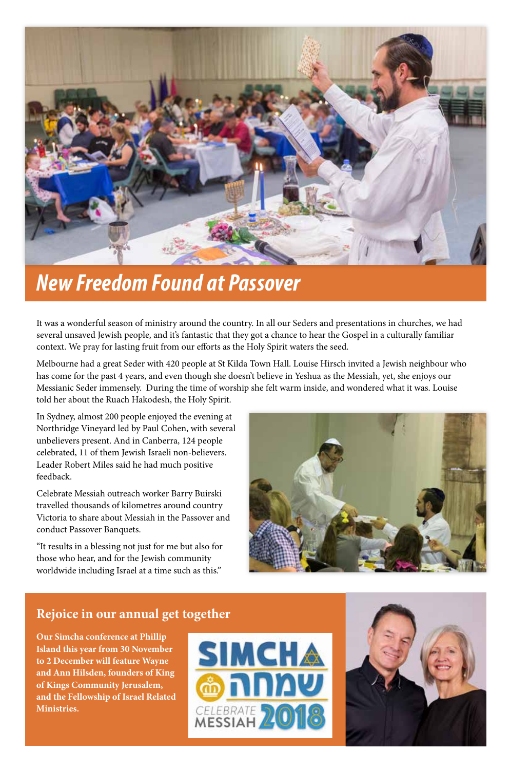

### *New Freedom Found at Passover*

It was a wonderful season of ministry around the country. In all our Seders and presentations in churches, we had several unsaved Jewish people, and it's fantastic that they got a chance to hear the Gospel in a culturally familiar context. We pray for lasting fruit from our efforts as the Holy Spirit waters the seed.

Melbourne had a great Seder with 420 people at St Kilda Town Hall. Louise Hirsch invited a Jewish neighbour who has come for the past 4 years, and even though she doesn't believe in Yeshua as the Messiah, yet, she enjoys our Messianic Seder immensely. During the time of worship she felt warm inside, and wondered what it was. Louise told her about the Ruach Hakodesh, the Holy Spirit.

In Sydney, almost 200 people enjoyed the evening at Northridge Vineyard led by Paul Cohen, with several unbelievers present. And in Canberra, 124 people celebrated, 11 of them Jewish Israeli non-believers. Leader Robert Miles said he had much positive feedback.

Celebrate Messiah outreach worker Barry Buirski travelled thousands of kilometres around country Victoria to share about Messiah in the Passover and conduct Passover Banquets.

"It results in a blessing not just for me but also for those who hear, and for the Jewish community worldwide including Israel at a time such as this."



#### **Rejoice in our annual get together**

**Our Simcha conference at Phillip Island this year from 30 November to 2 December will feature Wayne and Ann Hilsden, founders of King of Kings Community Jerusalem, and the Fellowship of Israel Related Ministries.**